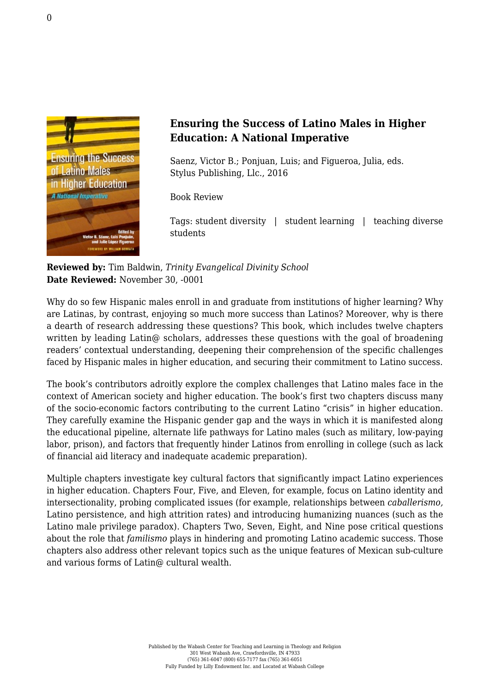

## **Ensuring the Success of Latino Males in Higher Education: A National Imperative**

Saenz, Victor B.; Ponjuan, Luis; and Figueroa, Julia, eds. [Stylus Publishing, Llc., 2016](https://sty.presswarehouse.com/Books/BookDetail.aspx?productID=295382)

Book Review

Tags: student diversity | student learning | teaching diverse students

## **Reviewed by:** Tim Baldwin, *Trinity Evangelical Divinity School* **Date Reviewed:** November 30, -0001

Why do so few Hispanic males enroll in and graduate from institutions of higher learning? Why are Latinas, by contrast, enjoying so much more success than Latinos? Moreover, why is there a dearth of research addressing these questions? This book, which includes twelve chapters written by leading Latin@ scholars, addresses these questions with the goal of broadening readers' contextual understanding, deepening their comprehension of the specific challenges faced by Hispanic males in higher education, and securing their commitment to Latino success.

The book's contributors adroitly explore the complex challenges that Latino males face in the context of American society and higher education. The book's first two chapters discuss many of the socio-economic factors contributing to the current Latino "crisis" in higher education. They carefully examine the Hispanic gender gap and the ways in which it is manifested along the educational pipeline, alternate life pathways for Latino males (such as military, low-paying labor, prison), and factors that frequently hinder Latinos from enrolling in college (such as lack of financial aid literacy and inadequate academic preparation).

Multiple chapters investigate key cultural factors that significantly impact Latino experiences in higher education. Chapters Four, Five, and Eleven, for example, focus on Latino identity and intersectionality, probing complicated issues (for example, relationships between *caballerismo,* Latino persistence, and high attrition rates) and introducing humanizing nuances (such as the Latino male privilege paradox). Chapters Two, Seven, Eight, and Nine pose critical questions about the role that *familismo* plays in hindering and promoting Latino academic success. Those chapters also address other relevant topics such as the unique features of Mexican sub-culture and various forms of Latin@ cultural wealth.